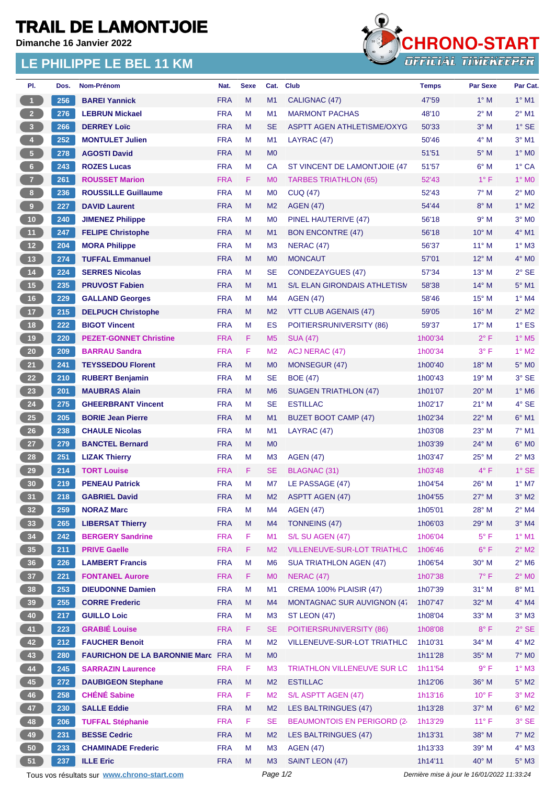## **TRAIL DE LAMONTJOIE**

**Dimanche 16 Janvier 2022**

## **LE PHILIPPE LE BEL 11 KM**



| PI.             | Dos. | Nom-Prénom                                      | Nat.                     | <b>Sexe</b> | Cat.           | <b>Club</b>                              | Temps                                       | <b>Par Sexe</b>       | Par Cat.                   |
|-----------------|------|-------------------------------------------------|--------------------------|-------------|----------------|------------------------------------------|---------------------------------------------|-----------------------|----------------------------|
| $\overline{1}$  | 256  | <b>BAREI Yannick</b>                            | <b>FRA</b>               | M           | M1             | CALIGNAC (47)                            | 47'59                                       | $1^\circ$ M           | $1^\circ$ M1               |
| $\overline{2}$  | 276  | <b>LEBRUN Mickael</b>                           | <b>FRA</b>               | M           | M1             | <b>MARMONT PACHAS</b>                    | 48'10                                       | $2^{\circ}$ M         | $2^{\circ}$ M1             |
| 3 <sup>°</sup>  | 266  | <b>DERREY Loïc</b>                              | <b>FRA</b>               | M           | <b>SE</b>      | <b>ASPTT AGEN ATHLETISME/OXYG</b>        | 50'33                                       | $3°$ M                | $1^\circ$ SE               |
| $\overline{4}$  | 252  | <b>MONTULET Julien</b>                          | <b>FRA</b>               | М           | M <sub>1</sub> | LAYRAC (47)                              | 50'46                                       | $4^\circ$ M           | $3°$ M1                    |
| $\sqrt{5}$      | 278  | <b>AGOSTI David</b>                             | <b>FRA</b>               | M           | M <sub>0</sub> |                                          | 51'51                                       | $5^\circ$ M           | $1^\circ$ MO               |
| $6 -$           | 243  | <b>ROZES Lucas</b>                              | <b>FRA</b>               | М           | CA             | ST VINCENT DE LAMONTJOIE (47             | 51'57                                       | $6^\circ$ M           | 1° CA                      |
| $\overline{7}$  | 261  | <b>ROUSSET Marion</b>                           | <b>FRA</b>               | F.          | M <sub>0</sub> | <b>TARBES TRIATHLON (65)</b>             | 52'43                                       | $1^{\circ}$ F         | 1° MO                      |
| 8 <sup>1</sup>  | 236  | <b>ROUSSILLE Guillaume</b>                      | <b>FRA</b>               | M           | M <sub>0</sub> | <b>CUQ (47)</b>                          | 52'43                                       | $7^\circ$ M           | $2^{\circ}$ M <sub>0</sub> |
| 9               | 227  | <b>DAVID Laurent</b>                            | <b>FRA</b>               | M           | M <sub>2</sub> | <b>AGEN (47)</b>                         | 54'44                                       | $8^\circ$ M           | $1^\circ$ M2               |
| $10$            | 240  | <b>JIMENEZ Philippe</b>                         | <b>FRA</b>               | М           | M <sub>0</sub> | PINEL HAUTERIVE (47)                     | 56'18                                       | 9° M                  | $3°$ MO                    |
| 11              | 247  | <b>FELIPE Christophe</b>                        | <b>FRA</b>               | M           | M1             | <b>BON ENCONTRE (47)</b>                 | 56'18                                       | $10^{\circ}$ M        | 4° M1                      |
| 12              | 204  | <b>MORA Philippe</b>                            | <b>FRA</b>               | М           | M <sub>3</sub> | NERAC (47)                               | 56'37                                       | $11^{\circ}$ M        | $1^\circ$ M3               |
| 13              | 274  | <b>TUFFAL Emmanuel</b>                          | <b>FRA</b>               | M           | M <sub>0</sub> | <b>MONCAUT</b>                           | 57'01                                       | $12^{\circ}$ M        | $4^\circ$ MO               |
| 14              | 224  | <b>SERRES Nicolas</b>                           | <b>FRA</b>               | М           | <b>SE</b>      | <b>CONDEZAYGUES (47)</b>                 | 57'34                                       | $13^{\circ}$ M        | $2°$ SE                    |
| 15              | 235  | <b>PRUVOST Fabien</b>                           | <b>FRA</b>               | M           | M1             | <b>S/L ELAN GIRONDAIS ATHLETISM</b>      | 58'38                                       | $14^{\circ}$ M        | $5^\circ$ M1               |
| 16              | 229  | <b>GALLAND Georges</b>                          | <b>FRA</b>               | M           | M4             | <b>AGEN (47)</b>                         | 58'46                                       | $15^{\circ}$ M        | $1°$ M4                    |
| 17              | 215  | <b>DELPUCH Christophe</b>                       | <b>FRA</b>               | M           | M <sub>2</sub> | <b>VTT CLUB AGENAIS (47)</b>             | 59'05                                       | $16^{\circ}$ M        | $2^{\circ}$ M2             |
| 18              | 222  | <b>BIGOT Vincent</b>                            | <b>FRA</b>               | М           | ES             | POITIERSRUNIVERSITY (86)                 | 59'37                                       | $17^{\circ}$ M        | $1^\circ$ ES               |
| 19              | 220  | <b>PEZET-GONNET Christine</b>                   | <b>FRA</b>               | F.          | M <sub>5</sub> | <b>SUA (47)</b>                          | 1h00'34                                     | $2^{\circ}$ F         | $1^\circ$ M <sub>5</sub>   |
| $20\degree$     | 209  | <b>BARRAU Sandra</b>                            | <b>FRA</b>               | F           | M <sub>2</sub> | ACJ NERAC (47)                           | 1h00'34                                     | 3° F                  | $1^\circ$ M2               |
| 21              | 241  | <b>TEYSSEDOU Florent</b>                        | <b>FRA</b>               | M           | M <sub>0</sub> | MONSEGUR (47)                            | 1h00'40                                     | $18^{\circ}$ M        | 5° M <sub>0</sub>          |
| 22              | 210  | <b>RUBERT Benjamin</b>                          | <b>FRA</b>               | M           | <b>SE</b>      | <b>BOE (47)</b>                          | 1h00'43                                     | 19° M                 | 3° SE                      |
| 23              | 201  | <b>MAUBRAS Alain</b>                            | <b>FRA</b>               | M           | M <sub>6</sub> |                                          | 1h01'07                                     | $20^\circ$ M          | $1^\circ$ M6               |
| 24              | 275  | <b>GHEERBRANT Vincent</b>                       | <b>FRA</b>               | М           | <b>SE</b>      | SUAGEN TRIATHLON (47)<br><b>ESTILLAC</b> | 1h02'17                                     | $21^{\circ}$ M        | 4° SE                      |
| 25              |      |                                                 | <b>FRA</b>               | M           | M1             |                                          | 1h02'34                                     | $22^{\circ}$ M        | $6^{\circ}$ M1             |
| 26              | 205  | <b>BORIE Jean Pierre</b>                        |                          |             |                | <b>BUZET BOOT CAMP (47)</b>              |                                             |                       |                            |
|                 | 238  | <b>CHAULE Nicolas</b><br><b>BANCTEL Bernard</b> | <b>FRA</b><br><b>FRA</b> | М           | M <sub>1</sub> | LAYRAC (47)                              | 1h03'08                                     | $23^\circ$ M<br>24° M | 7° M1<br>$6^\circ$ MO      |
| 27              | 279  |                                                 |                          | M           | M <sub>0</sub> |                                          | 1h03'39                                     |                       |                            |
| 28              | 251  | <b>LIZAK Thierry</b>                            | <b>FRA</b>               | М           | M <sub>3</sub> | <b>AGEN (47)</b>                         | 1h03'47                                     | $25^{\circ}$ M        | $2^{\circ}$ M3             |
| 29              | 214  | <b>TORT Louise</b>                              | <b>FRA</b>               | F           | <b>SE</b>      | BLAGNAC (31)                             | 1h03'48                                     | $4^{\circ}$ F         | $1^\circ$ SE               |
| 30              | 219  | <b>PENEAU Patrick</b>                           | <b>FRA</b>               | М           | M7             | LE PASSAGE (47)                          | 1h04'54                                     | $26^{\circ}$ M        | $1^\circ$ M7               |
| 31              | 218  | <b>GABRIEL David</b>                            | <b>FRA</b>               | M           | M <sub>2</sub> | <b>ASPTT AGEN (47)</b>                   | 1h04'55                                     | $27^\circ$ M          | $3°$ M2                    |
| 32 <sub>2</sub> | 259  | <b>NORAZ Marc</b>                               | <b>FRA</b>               | М           | M4             | <b>AGEN (47)</b>                         | 1h05'01                                     | 28° M                 | $2^{\circ}$ M4             |
| 33              | 265  | <b>LIBERSAT Thierry</b>                         | <b>FRA</b>               | M           | M4             | <b>TONNEINS (47)</b>                     | 1h06'03                                     | 29° M                 | $3°$ M4                    |
| 34              | 242  | <b>BERGERY Sandrine</b>                         | <b>FRA</b>               | F           | M1             | S/L SU AGEN (47)                         | 1h06'04                                     | $5^{\circ}$ F         | $1^\circ$ M1               |
| 35              | 211  | <b>PRIVE Gaelle</b>                             | <b>FRA</b>               | F           | M <sub>2</sub> | VILLENEUVE-SUR-LOT TRIATHLC              | 1h06'46                                     | $6^{\circ}$ F         | $2^{\circ}$ M2             |
| 36              | 226  | <b>LAMBERT Francis</b>                          | <b>FRA</b>               | M           | M <sub>6</sub> | <b>SUA TRIATHLON AGEN (47)</b>           | 1h06'54                                     | $30^\circ$ M          | $2^{\circ}$ M6             |
| 37              | 221  | <b>FONTANEL Aurore</b>                          | <b>FRA</b>               | F           | M <sub>0</sub> | <b>NERAC (47)</b>                        | 1h07'38                                     | $7^\circ$ F           | $2^\circ$ MO               |
| 38              | 253  | <b>DIEUDONNE Damien</b>                         | <b>FRA</b>               | М           | M1             | <b>CREMA 100% PLAISIR (47)</b>           | 1h07'39                                     | $31^\circ$ M          | $8^\circ$ M1               |
| 39              | 255  | <b>CORRE Frederic</b>                           | <b>FRA</b>               | M           | M4             | MONTAGNAC SUR AUVIGNON (47               | 1h07'47                                     | 32° M                 | $4^\circ$ M4               |
| 40              | 217  | <b>GUILLO Loic</b>                              | <b>FRA</b>               | M           | M <sub>3</sub> | ST LEON (47)                             | 1h08'04                                     | $33^\circ$ M          | $3^\circ$ M3               |
| 41              | 223  | <b>GRABIÉ Louise</b>                            | <b>FRA</b>               | F.          | <b>SE</b>      | POITIERSRUNIVERSITY (86)                 | 1h08'08                                     | $8^{\circ}$ F         | $2^{\circ}$ SE             |
| 42              | 212  | <b>FAUCHER Benoit</b>                           | <b>FRA</b>               | М           | M <sub>2</sub> | VILLENEUVE-SUR-LOT TRIATHLO              | 1h10'31                                     | 34° M                 | $4^\circ$ M2               |
| 43              | 280  | <b>FAURICHON DE LA BARONNIE Marc FRA</b>        |                          | M           | M <sub>0</sub> |                                          | 1h11'28                                     | 35° M                 | 7° M0                      |
| 44              | 245  | <b>SARRAZIN Laurence</b>                        | <b>FRA</b>               | F.          | M <sub>3</sub> | <b>TRIATHLON VILLENEUVE SUR LC</b>       | 1h11'54                                     | 9° F                  | $1^\circ$ M3               |
| 45              | 272  | <b>DAUBIGEON Stephane</b>                       | <b>FRA</b>               | M           | M <sub>2</sub> | <b>ESTILLAC</b>                          | 1h12'06                                     | 36° M                 | $5^\circ$ M2               |
| 46              | 258  | <b>CHÉNÉ Sabine</b>                             | <b>FRA</b>               | F           | M <sub>2</sub> | S/L ASPTT AGEN (47)                      | 1h13'16                                     | $10^{\circ}$ F        | $3^\circ$ M2               |
| 47              | 230  | <b>SALLE Eddie</b>                              | <b>FRA</b>               | M           | M <sub>2</sub> | <b>LES BALTRINGUES (47)</b>              | 1h13'28                                     | 37° M                 | $6^\circ$ M2               |
| 48              | 206  | <b>TUFFAL Stéphanie</b>                         | <b>FRA</b>               | F           | <b>SE</b>      | BEAUMONTOIS EN PERIGORD (24              | 1h13'29                                     | $11^{\circ}$ F        | 3° SE                      |
| 49              | 231  | <b>BESSE Cedric</b>                             | <b>FRA</b>               | M           | M <sub>2</sub> | <b>LES BALTRINGUES (47)</b>              | 1h13'31                                     | 38° M                 | $7^\circ$ M2               |
| 50              | 233  | <b>CHAMINADE Frederic</b>                       | <b>FRA</b>               | М           | M <sub>3</sub> | <b>AGEN (47)</b>                         | 1h13'33                                     | $39^\circ$ M          | $4^\circ$ M3               |
| 51              | 237  | <b>ILLE Eric</b>                                | <b>FRA</b>               | M           | M <sub>3</sub> | SAINT LEON (47)                          | 1h14'11                                     | 40° M                 | $5^\circ$ M3               |
|                 |      | Tous vos résultats sur www.chrono-start.com     |                          |             | Page 1/2       |                                          | Dernière mise à jour le 16/01/2022 11:33:24 |                       |                            |